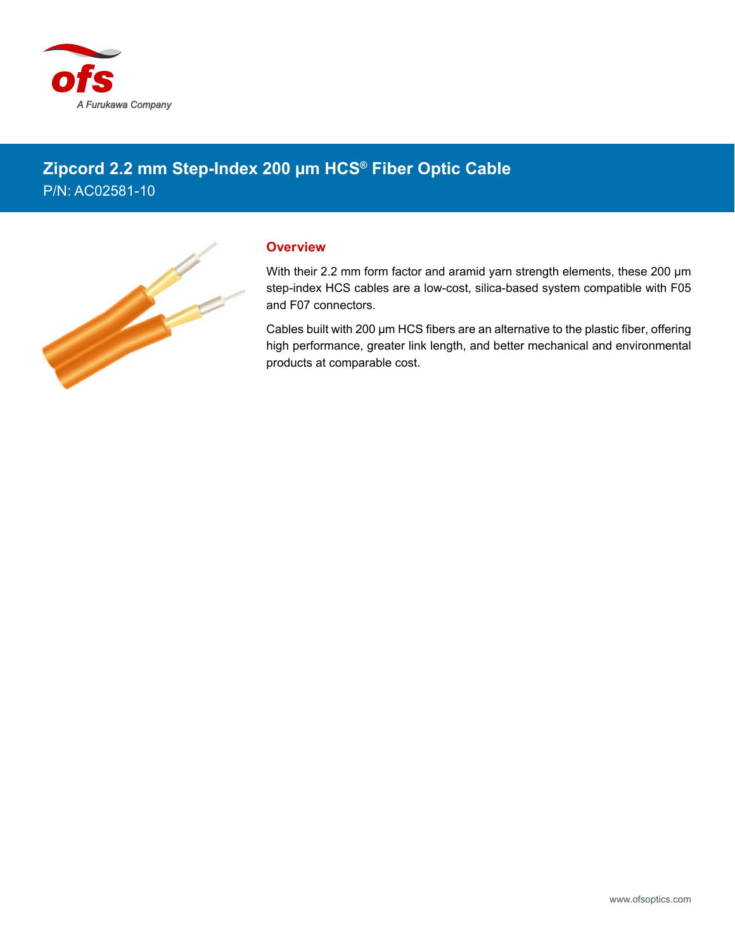

## **Zipcord 2.2 mm Step-Index 200 µm HCS® Fiber Optic Cable** P/N: AC02581-10



## **Overview**

With their 2.2 mm form factor and aramid yarn strength elements, these 200 µm step-index HCS cables are a low-cost, silica-based system compatible with F05 and F07 connectors.

Cables built with 200 µm HCS fibers are an alternative to the plastic fiber, offering high performance, greater link length, and better mechanical and environmental products at comparable cost.